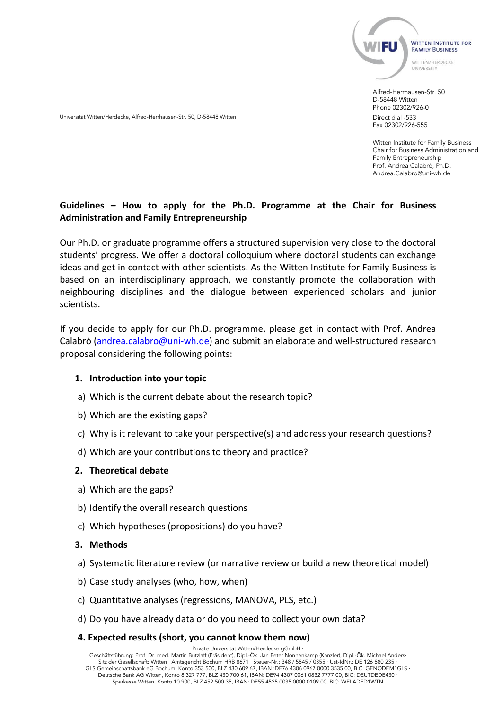

Alfred-Herrhausen-Str. 50 D-58448 Witten Phone 02302/926-0 Direct dial -533 Fax 02302/926-555

Witten Institute for Family Business Chair for Business Administration and Family Entrepreneurship Prof. Andrea Calabrò, Ph.D. Andrea.Calabro@uni-wh.de

# **Guidelines – How to apply for the Ph.D. Programme at the Chair for Business Administration and Family Entrepreneurship**

Our Ph.D. or graduate programme offers a structured supervision very close to the doctoral students' progress. We offer a doctoral colloquium where doctoral students can exchange ideas and get in contact with other scientists. As the Witten Institute for Family Business is based on an interdisciplinary approach, we constantly promote the collaboration with neighbouring disciplines and the dialogue between experienced scholars and junior scientists.

If you decide to apply for our Ph.D. programme, please get in contact with Prof. Andrea Calabrò [\(andrea.calabro@uni-wh.de\)](mailto:andrea.calabro@uni-wh.de) and submit an elaborate and well-structured research proposal considering the following points:

#### **1. Introduction into your topic**

Universität Witten/Herdecke, Alfred-Herrhausen-Str. 50, D-58448 Witten

- a) Which is the current debate about the research topic?
- b) Which are the existing gaps?
- c) Why is it relevant to take your perspective(s) and address your research questions?
- d) Which are your contributions to theory and practice?

#### **2. Theoretical debate**

- a) Which are the gaps?
- b) Identify the overall research questions
- c) Which hypotheses (propositions) do you have?

#### **3. Methods**

- a) Systematic literature review (or narrative review or build a new theoretical model)
- b) Case study analyses (who, how, when)
- c) Quantitative analyses (regressions, MANOVA, PLS, etc.)
- d) Do you have already data or do you need to collect your own data?

#### **4. Expected results (short, you cannot know them now)**

Private Universität Witten/Herdecke gGmbH ·

Geschäftsführung: Prof. Dr. med. Martin Butzlaff (Präsident), Dipl.-Ök. Jan Peter Nonnenkamp (Kanzler), Dipl.-Ök. Michael Anders· Sitz der Gesellschaft: Witten · Amtsgericht Bochum HRB 8671 · Steuer-Nr.: 348 / 5845 / 0355 · Ust-IdNr.: DE 126 880 235 · GLS Gemeinschaftsbank eG Bochum, Konto 353 500, BLZ 430 609 67, IBAN :DE76 4306 0967 0000 3535 00, BIC: GENODEM1GLS · Deutsche Bank AG Witten, Konto 8 327 777, BLZ 430 700 61, IBAN: DE94 4307 0061 0832 7777 00, BIC: DEUTDEDE430 · Sparkasse Witten, Konto 10 900, BLZ 452 500 35, IBAN: DE55 4525 0035 0000 0109 00, BIC: WELADED1WTN